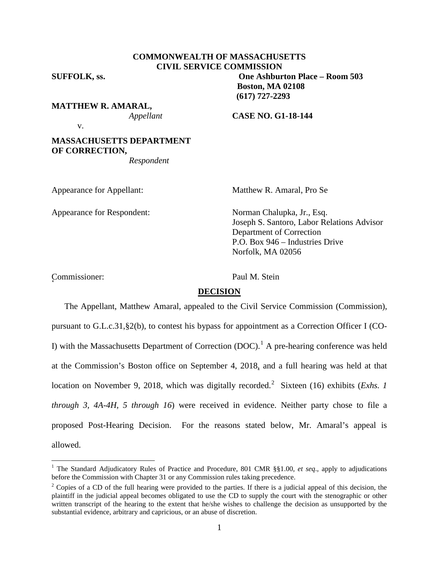## **COMMONWEALTH OF MASSACHUSETTS CIVIL SERVICE COMMISSION**

**SUFFOLK, ss. One Ashburton Place – Room 503**

**MATTHEW R. AMARAL,**

*Appellant* **CASE NO. G1-18-144**

**Boston, MA 02108 (617) 727-2293**

v.

# **MASSACHUSETTS DEPARTMENT OF CORRECTION,**

*Respondent*

Appearance for Respondent: Norman Chalupka, Jr., Esq.

Appearance for Appellant: Matthew R. Amaral, Pro Se

Joseph S. Santoro, Labor Relations Advisor Department of Correction P.O. Box 946 – Industries Drive Norfolk, MA 02056

Commissioner: Paul M. Stein '

#### **DECISION**

The Appellant, Matthew Amaral, appealed to the Civil Service Commission (Commission), pursuant to G.L.c.31,§2(b), to contest his bypass for appointment as a Correction Officer I (CO-I) with the Massachusetts Department of Correction  $(DOC)$ .<sup>[1](#page-0-0)</sup> A pre-hearing conference was held at the Commission's Boston office on September 4, 2018, and a full hearing was held at that location on November 9, 2018, which was digitally recorded. [2](#page-0-1) Sixteen (16) exhibits (*Exhs. 1 through 3, 4A-4H, 5 through 16*) were received in evidence. Neither party chose to file a proposed Post-Hearing Decision. For the reasons stated below, Mr. Amaral's appeal is allowed.

<span id="page-0-0"></span> <sup>1</sup> The Standard Adjudicatory Rules of Practice and Procedure, 801 CMR §§1.00, *et seq*., apply to adjudications before the Commission with Chapter 31 or any Commission rules taking precedence.

<span id="page-0-1"></span><sup>&</sup>lt;sup>2</sup> Copies of a CD of the full hearing were provided to the parties. If there is a judicial appeal of this decision, the plaintiff in the judicial appeal becomes obligated to use the CD to supply the court with the stenographic or other written transcript of the hearing to the extent that he/she wishes to challenge the decision as unsupported by the substantial evidence, arbitrary and capricious, or an abuse of discretion.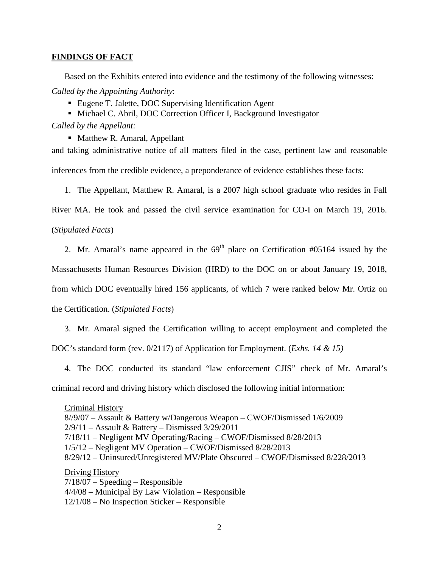### **FINDINGS OF FACT**

Based on the Exhibits entered into evidence and the testimony of the following witnesses: *Called by the Appointing Authority*:

- Eugene T. Jalette, DOC Supervising Identification Agent
- $\blacksquare$  Michael C. Abril, DOC Correction Officer I, Background Investigator

*Called by the Appellant:*

• Matthew R. Amaral, Appellant

and taking administrative notice of all matters filed in the case, pertinent law and reasonable inferences from the credible evidence, a preponderance of evidence establishes these facts:

1. The Appellant, Matthew R. Amaral, is a 2007 high school graduate who resides in Fall

River MA. He took and passed the civil service examination for CO-I on March 19, 2016.

(*Stipulated Facts*)

2. Mr. Amaral's name appeared in the  $69<sup>th</sup>$  place on Certification #05164 issued by the

Massachusetts Human Resources Division (HRD) to the DOC on or about January 19, 2018,

from which DOC eventually hired 156 applicants, of which 7 were ranked below Mr. Ortiz on

the Certification. (*Stipulated Facts*)

3. Mr. Amaral signed the Certification willing to accept employment and completed the

DOC's standard form (rev. 0/2117) of Application for Employment. (*Exhs. 14 & 15)*

4. The DOC conducted its standard "law enforcement CJIS" check of Mr. Amaral's

criminal record and driving history which disclosed the following initial information:

Criminal History 8//9/07 – Assault & Battery w/Dangerous Weapon – CWOF/Dismissed 1/6/2009 2/9/11 – Assault & Battery – Dismissed 3/29/2011 7/18/11 – Negligent MV Operating/Racing – CWOF/Dismissed 8/28/2013 1/5/12 – Negligent MV Operation – CWOF/Dismissed 8/28/2013 8/29/12 – Uninsured/Unregistered MV/Plate Obscured – CWOF/Dismissed 8/228/2013 Driving History 7/18/07 – Speeding – Responsible 4/4/08 – Municipal By Law Violation – Responsible 12/1/08 – No Inspection Sticker – Responsible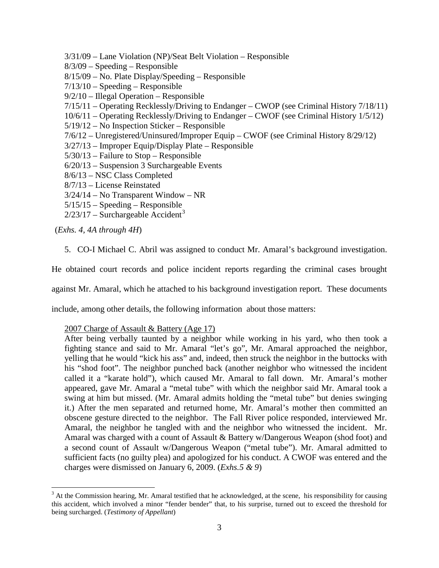- 3/31/09 Lane Violation (NP)/Seat Belt Violation Responsible
- 8/3/09 Speeding Responsible
- 8/15/09 No. Plate Display/Speeding Responsible
- 7/13/10 Speeding Responsible
- 9/2/10 Illegal Operation Responsible
- 7/15/11 Operating Recklessly/Driving to Endanger CWOP (see Criminal History 7/18/11)
- 10/6/11 Operating Recklessly/Driving to Endanger CWOF (see Criminal History 1/5/12)
- 5/19/12 No Inspection Sticker Responsible
- 7/6/12 Unregistered/Uninsured/Improper Equip CWOF (see Criminal History 8/29/12)
- 3/27/13 Improper Equip/Display Plate Responsible
- 5/30/13 Failure to Stop Responsible
- 6/20/13 Suspension 3 Surchargeable Events
- 8/6/13 NSC Class Completed
- 8/7/13 License Reinstated
- 3/24/14 No Transparent Window NR
- 5/15/15 Speeding Responsible
- $2/23/17$  $2/23/17$  $2/23/17$  Surchargeable Accident<sup>3</sup>

(*Exhs. 4, 4A through 4H*)

5. CO-I Michael C. Abril was assigned to conduct Mr. Amaral's background investigation.

He obtained court records and police incident reports regarding the criminal cases brought

against Mr. Amaral, which he attached to his background investigation report. These documents

include, among other details, the following information about those matters:

#### 2007 Charge of Assault & Battery (Age 17)

After being verbally taunted by a neighbor while working in his yard, who then took a fighting stance and said to Mr. Amaral "let's go", Mr. Amaral approached the neighbor, yelling that he would "kick his ass" and, indeed, then struck the neighbor in the buttocks with his "shod foot". The neighbor punched back (another neighbor who witnessed the incident called it a "karate hold"), which caused Mr. Amaral to fall down. Mr. Amaral's mother appeared, gave Mr. Amaral a "metal tube" with which the neighbor said Mr. Amaral took a swing at him but missed. (Mr. Amaral admits holding the "metal tube" but denies swinging it.) After the men separated and returned home, Mr. Amaral's mother then committed an obscene gesture directed to the neighbor. The Fall River police responded, interviewed Mr. Amaral, the neighbor he tangled with and the neighbor who witnessed the incident. Mr. Amaral was charged with a count of Assault & Battery w/Dangerous Weapon (shod foot) and a second count of Assault w/Dangerous Weapon ("metal tube"). Mr. Amaral admitted to sufficient facts (no guilty plea) and apologized for his conduct. A CWOF was entered and the charges were dismissed on January 6, 2009. (*Exhs.5 & 9*)

<span id="page-2-0"></span> $3$  At the Commission hearing, Mr. Amaral testified that he acknowledged, at the scene, his responsibility for causing this accident, which involved a minor "fender bender" that, to his surprise, turned out to exceed the threshold for being surcharged. (*Testimony of Appellant*)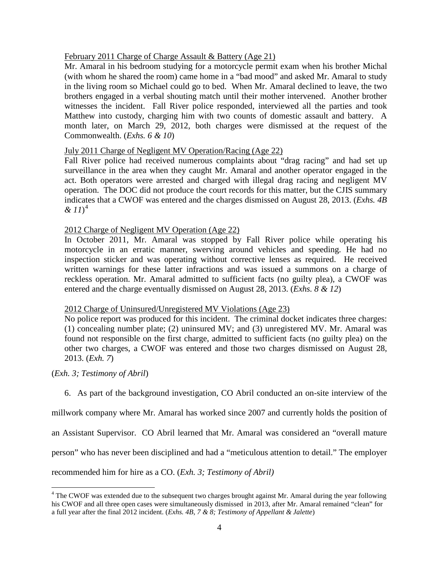## February 2011 Charge of Charge Assault & Battery (Age 21)

Mr. Amaral in his bedroom studying for a motorcycle permit exam when his brother Michal (with whom he shared the room) came home in a "bad mood" and asked Mr. Amaral to study in the living room so Michael could go to bed. When Mr. Amaral declined to leave, the two brothers engaged in a verbal shouting match until their mother intervened. Another brother witnesses the incident. Fall River police responded, interviewed all the parties and took Matthew into custody, charging him with two counts of domestic assault and battery. A month later, on March 29, 2012, both charges were dismissed at the request of the Commonwealth. (*Exhs. 6 & 10*)

## July 2011 Charge of Negligent MV Operation/Racing (Age 22)

Fall River police had received numerous complaints about "drag racing" and had set up surveillance in the area when they caught Mr. Amaral and another operator engaged in the act. Both operators were arrested and charged with illegal drag racing and negligent MV operation. The DOC did not produce the court records for this matter, but the CJIS summary indicates that a CWOF was entered and the charges dismissed on August 28, 2013. (*Exhs. 4B & 11*) [4](#page-3-0)

## 2012 Charge of Negligent MV Operation (Age 22)

In October 2011, Mr. Amaral was stopped by Fall River police while operating his motorcycle in an erratic manner, swerving around vehicles and speeding. He had no inspection sticker and was operating without corrective lenses as required. He received written warnings for these latter infractions and was issued a summons on a charge of reckless operation. Mr. Amaral admitted to sufficient facts (no guilty plea), a CWOF was entered and the charge eventually dismissed on August 28, 2013. (*Exhs. 8 & 12*)

#### 2012 Charge of Uninsured/Unregistered MV Violations (Age 23)

No police report was produced for this incident. The criminal docket indicates three charges: (1) concealing number plate; (2) uninsured MV; and (3) unregistered MV. Mr. Amaral was found not responsible on the first charge, admitted to sufficient facts (no guilty plea) on the other two charges, a CWOF was entered and those two charges dismissed on August 28, 2013. (*Exh. 7*)

(*Exh. 3; Testimony of Abril*)

6. As part of the background investigation, CO Abril conducted an on-site interview of the

millwork company where Mr. Amaral has worked since 2007 and currently holds the position of

an Assistant Supervisor. CO Abril learned that Mr. Amaral was considered an "overall mature

person" who has never been disciplined and had a "meticulous attention to detail." The employer

recommended him for hire as a CO. (*Exh. 3; Testimony of Abril)*

<span id="page-3-0"></span><sup>&</sup>lt;sup>4</sup> The CWOF was extended due to the subsequent two charges brought against Mr. Amaral during the year following his CWOF and all three open cases were simultaneously dismissed in 2013, after Mr. Amaral remained "clean" for a full year after the final 2012 incident. (*Exhs. 4B, 7 & 8; Testimony of Appellant & Jalette*)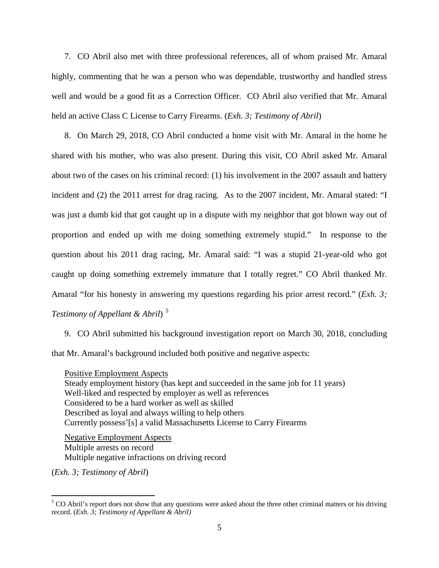7. CO Abril also met with three professional references, all of whom praised Mr. Amaral highly, commenting that he was a person who was dependable, trustworthy and handled stress well and would be a good fit as a Correction Officer. CO Abril also verified that Mr. Amaral held an active Class C License to Carry Firearms. (*Exh. 3; Testimony of Abril*)

8. On March 29, 2018, CO Abril conducted a home visit with Mr. Amaral in the home he shared with his mother, who was also present. During this visit, CO Abril asked Mr. Amaral about two of the cases on his criminal record: (1) his involvement in the 2007 assault and battery incident and (2) the 2011 arrest for drag racing. As to the 2007 incident, Mr. Amaral stated: "I was just a dumb kid that got caught up in a dispute with my neighbor that got blown way out of proportion and ended up with me doing something extremely stupid." In response to the question about his 2011 drag racing, Mr. Amaral said: "I was a stupid 21-year-old who got caught up doing something extremely immature that I totally regret." CO Abril thanked Mr. Amaral "for his honesty in answering my questions regarding his prior arrest record." (*Exh. 3; Testimony of Appellant & Abril*) [5](#page-4-0)

9. CO Abril submitted his background investigation report on March 30, 2018, concluding that Mr. Amaral's background included both positive and negative aspects:

Positive Employment Aspects Steady employment history (has kept and succeeded in the same job for 11 years) Well-liked and respected by employer as well as references Considered to be a hard worker as well as skilled Described as loyal and always willing to help others Currently possess'[s] a valid Massachusetts License to Carry Firearms

Negative Employment Aspects Multiple arrests on record Multiple negative infractions on driving record

(*Exh. 3; Testimony of Abril*)

<span id="page-4-0"></span> $5$  CO Abril's report does not show that any questions were asked about the three other criminal matters or his driving record. (*Exh. 3; Testimony of Appellant & Abril)*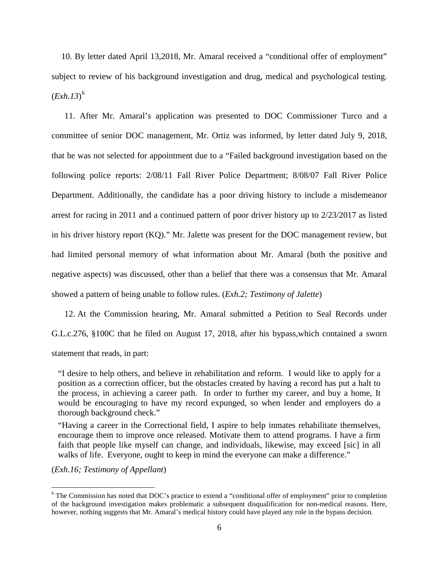10. By letter dated April 13,2018, Mr. Amaral received a "conditional offer of employment" subject to review of his background investigation and drug, medical and psychological testing. (*Exh.13*) [6](#page-5-0)

11. After Mr. Amaral's application was presented to DOC Commissioner Turco and a committee of senior DOC management, Mr. Ortiz was informed, by letter dated July 9, 2018, that he was not selected for appointment due to a "Failed background investigation based on the following police reports: 2/08/11 Fall River Police Department; 8/08/07 Fall River Police Department. Additionally, the candidate has a poor driving history to include a misdemeanor arrest for racing in 2011 and a continued pattern of poor driver history up to 2/23/2017 as listed in his driver history report (KQ)." Mr. Jalette was present for the DOC management review, but had limited personal memory of what information about Mr. Amaral (both the positive and negative aspects) was discussed, other than a belief that there was a consensus that Mr. Amaral showed a pattern of being unable to follow rules. (*Exh.2; Testimony of Jalette*)

12. At the Commission hearing, Mr. Amaral submitted a Petition to Seal Records under G.L.c.276, §100C that he filed on August 17, 2018, after his bypass,which contained a sworn statement that reads, in part:

"I desire to help others, and believe in rehabilitation and reform. I would like to apply for a position as a correction officer, but the obstacles created by having a record has put a halt to the process, in achieving a career path. In order to further my career, and buy a home, It would be encouraging to have my record expunged, so when lender and employers do a thorough background check."

"Having a career in the Correctional field, I aspire to help inmates rehabilitate themselves, encourage them to improve once released. Motivate them to attend programs. I have a firm faith that people like myself can change, and individuals, likewise, may exceed [sic] in all walks of life. Everyone, ought to keep in mind the everyone can make a difference."

(*Exh.16; Testimony of Appellant*)

<span id="page-5-0"></span><sup>&</sup>lt;sup>6</sup> The Commission has noted that DOC's practice to extend a "conditional offer of employment" prior to completion of the background investigation makes problematic a subsequent disqualification for non-medical reasons. Here, however, nothing suggests that Mr. Amaral's medical history could have played any role in the bypass decision.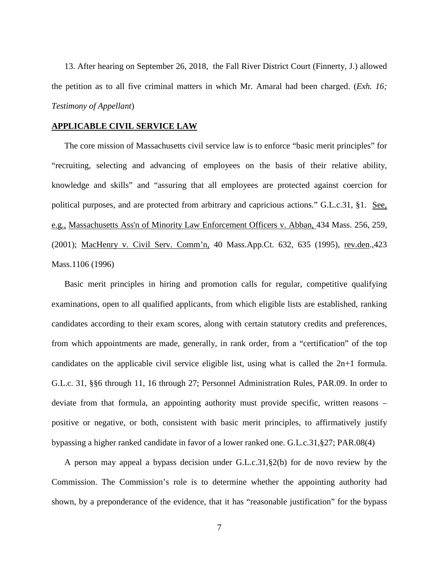13. After hearing on September 26, 2018, the Fall River District Court (Finnerty, J.) allowed the petition as to all five criminal matters in which Mr. Amaral had been charged. (*Exh. 16; Testimony of Appellant*)

## **APPLICABLE CIVIL SERVICE LAW**

The core mission of Massachusetts civil service law is to enforce "basic merit principles" for "recruiting, selecting and advancing of employees on the basis of their relative ability, knowledge and skills" and "assuring that all employees are protected against coercion for political purposes, and are protected from arbitrary and capricious actions." G.L.c.31, §1. See, e.g., [Massachusetts Ass'n of Minority Law Enforcement Officers v. Abban,](http://web2.westlaw.com/find/default.wl?mt=Massachusetts&db=578&rs=WLW15.04&tc=-1&rp=%2ffind%2fdefault.wl&findtype=Y&ordoc=2029136022&serialnum=2001441097&vr=2.0&fn=_top&sv=Split&tf=-1&pbc=70F732C1&utid=1) 434 Mass. 256, 259, [\(2001\);](http://web2.westlaw.com/find/default.wl?mt=Massachusetts&db=578&rs=WLW15.04&tc=-1&rp=%2ffind%2fdefault.wl&findtype=Y&ordoc=2029136022&serialnum=2001441097&vr=2.0&fn=_top&sv=Split&tf=-1&pbc=70F732C1&utid=1) MacHenry v. Civil Serv. Comm'n, 40 Mass.App.Ct. 632, 635 (1995), rev.den.,423 Mass.1106 (1996)

Basic merit principles in hiring and promotion calls for regular, competitive qualifying examinations, open to all qualified applicants, from which eligible lists are established, ranking candidates according to their exam scores, along with certain statutory credits and preferences, from which appointments are made, generally, in rank order, from a "certification" of the top candidates on the applicable civil service eligible list, using what is called the 2n+1 formula. G.L.c. 31, §§6 through 11, 16 through 27; Personnel Administration Rules, PAR.09. In order to deviate from that formula, an appointing authority must provide specific, written reasons – positive or negative, or both, consistent with basic merit principles, to affirmatively justify bypassing a higher ranked candidate in favor of a lower ranked one. G.L.c.31,§27; PAR.08(4)

A person may appeal a bypass decision under G.L.c.31,§2(b) for de novo review by the Commission. The Commission's role is to determine whether the appointing authority had shown, by a preponderance of the evidence, that it has "reasonable justification" for the bypass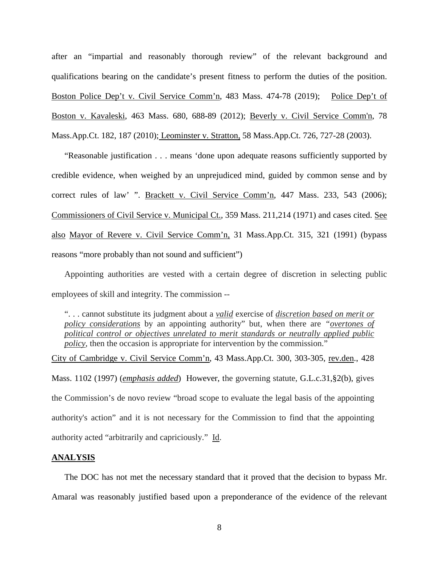after an "impartial and reasonably thorough review" of the relevant background and qualifications bearing on the candidate's present fitness to perform the duties of the position. Boston Police Dep't v. Civil Service Comm'n, 483 Mass. 474-78 (2019); Police Dep't of Boston v. Kavaleski, 463 Mass. 680, 688-89 (2012); [Beverly v. Civil Service Comm'n, 78](http://web2.westlaw.com/find/default.wl?mt=Massachusetts&db=578&rs=WLW15.04&tc=-1&rp=%2ffind%2fdefault.wl&findtype=Y&ordoc=2029136022&serialnum=2023501172&vr=2.0&fn=_top&sv=Split&tf=-1&pbc=70F732C1&utid=1)  Mass.App.Ct. [182, 187 \(2010\);](http://web2.westlaw.com/find/default.wl?mt=Massachusetts&db=578&rs=WLW15.04&tc=-1&rp=%2ffind%2fdefault.wl&findtype=Y&ordoc=2029136022&serialnum=2023501172&vr=2.0&fn=_top&sv=Split&tf=-1&pbc=70F732C1&utid=1) Leominster v. Stratton, 58 Mass.App.Ct. 726, 727-28 (2003).

"Reasonable justification . . . means 'done upon adequate reasons sufficiently supported by credible evidence, when weighed by an unprejudiced mind, guided by common sense and by correct rules of law' ". Brackett v. Civil Service Comm'n, 447 Mass. 233, 543 (2006); Commissioners of Civil Service v. Municipal Ct., 359 Mass. 211,214 (1971) and cases cited. See also Mayor of Revere v. Civil Service Comm'n, 31 Mass.App.Ct. 315, 321 (1991) (bypass reasons "more probably than not sound and sufficient")

Appointing authorities are vested with a certain degree of discretion in selecting public employees of skill and integrity. The commission --

". . . cannot substitute its judgment about a *valid* exercise of *discretion based on merit or policy considerations* by an appointing authority" but, when there are *"overtones of political control or objectives unrelated to merit standards or neutrally applied public policy*, then the occasion is appropriate for intervention by the commission."

City of Cambridge v. Civil Service Comm'n, 43 Mass.App.Ct. 300, 303-305, rev.den., 428 Mass. 1102 (1997) (*emphasis added*) However, the governing statute, [G.L.c.31,§2\(b\),](https://1.next.westlaw.com/Link/Document/FullText?findType=L&pubNum=1000042&cite=MAST31S2&originatingDoc=Ib21af0ded3bd11d99439b076ef9ec4de&refType=LQ&originationContext=document&transitionType=DocumentItem&contextData=(sc.History*oc.UserEnteredCitation)) gives the Commission's de novo review "broad scope to evaluate the legal basis of the appointing authority's action" and it is not necessary for the Commission to find that the appointing authority acted "arbitrarily and capriciously." Id.

#### **ANALYSIS**

The DOC has not met the necessary standard that it proved that the decision to bypass Mr. Amaral was reasonably justified based upon a preponderance of the evidence of the relevant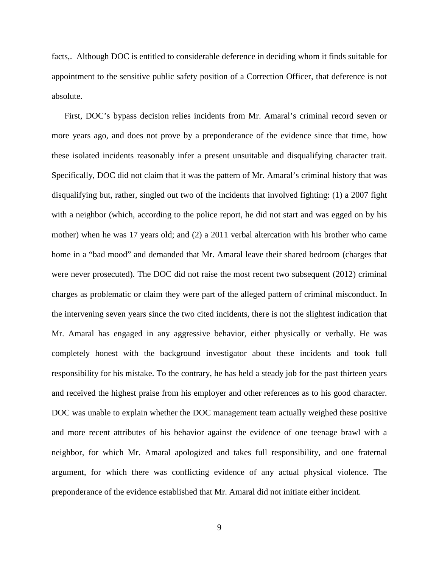facts,. Although DOC is entitled to considerable deference in deciding whom it finds suitable for appointment to the sensitive public safety position of a Correction Officer, that deference is not absolute.

First, DOC's bypass decision relies incidents from Mr. Amaral's criminal record seven or more years ago, and does not prove by a preponderance of the evidence since that time, how these isolated incidents reasonably infer a present unsuitable and disqualifying character trait. Specifically, DOC did not claim that it was the pattern of Mr. Amaral's criminal history that was disqualifying but, rather, singled out two of the incidents that involved fighting: (1) a 2007 fight with a neighbor (which, according to the police report, he did not start and was egged on by his mother) when he was 17 years old; and (2) a 2011 verbal altercation with his brother who came home in a "bad mood" and demanded that Mr. Amaral leave their shared bedroom (charges that were never prosecuted). The DOC did not raise the most recent two subsequent (2012) criminal charges as problematic or claim they were part of the alleged pattern of criminal misconduct. In the intervening seven years since the two cited incidents, there is not the slightest indication that Mr. Amaral has engaged in any aggressive behavior, either physically or verbally. He was completely honest with the background investigator about these incidents and took full responsibility for his mistake. To the contrary, he has held a steady job for the past thirteen years and received the highest praise from his employer and other references as to his good character. DOC was unable to explain whether the DOC management team actually weighed these positive and more recent attributes of his behavior against the evidence of one teenage brawl with a neighbor, for which Mr. Amaral apologized and takes full responsibility, and one fraternal argument, for which there was conflicting evidence of any actual physical violence. The preponderance of the evidence established that Mr. Amaral did not initiate either incident.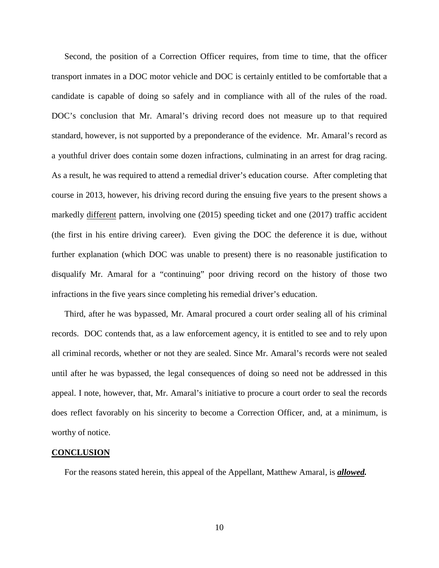Second, the position of a Correction Officer requires, from time to time, that the officer transport inmates in a DOC motor vehicle and DOC is certainly entitled to be comfortable that a candidate is capable of doing so safely and in compliance with all of the rules of the road. DOC's conclusion that Mr. Amaral's driving record does not measure up to that required standard, however, is not supported by a preponderance of the evidence. Mr. Amaral's record as a youthful driver does contain some dozen infractions, culminating in an arrest for drag racing. As a result, he was required to attend a remedial driver's education course. After completing that course in 2013, however, his driving record during the ensuing five years to the present shows a markedly different pattern, involving one (2015) speeding ticket and one (2017) traffic accident (the first in his entire driving career). Even giving the DOC the deference it is due, without further explanation (which DOC was unable to present) there is no reasonable justification to disqualify Mr. Amaral for a "continuing" poor driving record on the history of those two infractions in the five years since completing his remedial driver's education.

Third, after he was bypassed, Mr. Amaral procured a court order sealing all of his criminal records. DOC contends that, as a law enforcement agency, it is entitled to see and to rely upon all criminal records, whether or not they are sealed. Since Mr. Amaral's records were not sealed until after he was bypassed, the legal consequences of doing so need not be addressed in this appeal. I note, however, that, Mr. Amaral's initiative to procure a court order to seal the records does reflect favorably on his sincerity to become a Correction Officer, and, at a minimum, is worthy of notice.

#### **CONCLUSION**

For the reasons stated herein, this appeal of the Appellant, Matthew Amaral, is *allowed.*